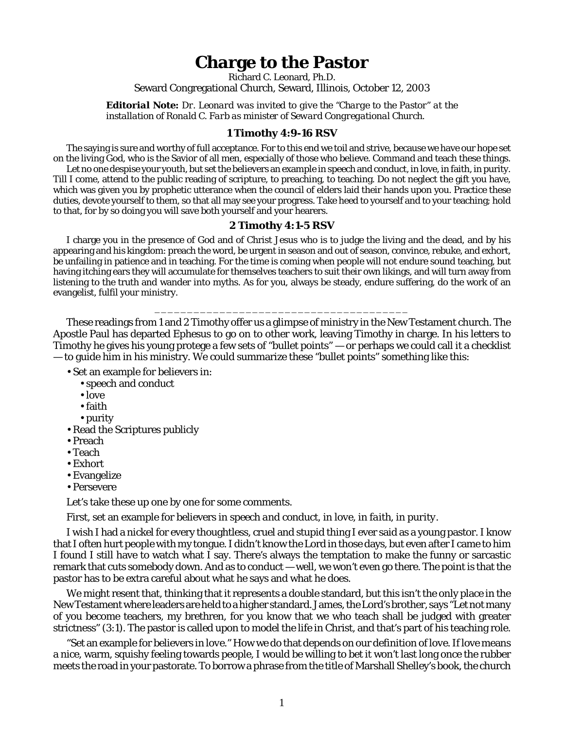## **Charge to the Pastor**

Richard C. Leonard, Ph.D.

Seward Congregational Church, Seward, Illinois, October 12, 2003

*Editorial Note: Dr. Leonard was invited to give the "Charge to the Pastor" at the installation of Ronald C. Farb as minister of Seward Congregational Church.*

## **1 Timothy 4:9-16 RSV**

The saying is sure and worthy of full acceptance. For to this end we toil and strive, because we have our hope set on the living God, who is the Savior of all men, especially of those who believe. Command and teach these things.

Let no one despise your youth, but set the believers an example in speech and conduct, in love, in faith, in purity. Till I come, attend to the public reading of scripture, to preaching, to teaching. Do not neglect the gift you have, which was given you by prophetic utterance when the council of elders laid their hands upon you. Practice these duties, devote yourself to them, so that all may see your progress. Take heed to yourself and to your teaching; hold to that, for by so doing you will save both yourself and your hearers.

## **2 Timothy 4:1-5 RSV**

I charge you in the presence of God and of Christ Jesus who is to judge the living and the dead, and by his appearing and his kingdom: preach the word, be urgent in season and out of season, convince, rebuke, and exhort, be unfailing in patience and in teaching. For the time is coming when people will not endure sound teaching, but having itching ears they will accumulate for themselves teachers to suit their own likings, and will turn away from listening to the truth and wander into myths. As for you, always be steady, endure suffering, do the work of an evangelist, fulfil your ministry.

These readings from 1 and 2 Timothy offer us a glimpse of ministry in the New Testament church. The Apostle Paul has departed Ephesus to go on to other work, leaving Timothy in charge. In his letters to Timothy he gives his young protege a few sets of "bullet points" — or perhaps we could call it a checklist — to guide him in his ministry. We could summarize these "bullet points" something like this:

\_\_\_\_\_\_\_\_\_\_\_\_\_\_\_\_\_\_\_\_\_\_\_\_\_\_\_\_\_\_\_\_\_\_\_\_\_\_\_

- Set an example for believers in:
	- speech and conduct
	- love
	- faith
	- purity
- Read the Scriptures publicly
- Preach
- Teach
- Exhort
- Evangelize
- Persevere

Let's take these up one by one for some comments.

First, set an example for believers in *speech and conduct, in love, in faith, in purity.*

I wish I had a nickel for every thoughtless, cruel and stupid thing I ever said as a young pastor. I know that I often hurt people with my tongue. I didn't know the Lord in those days, but even after I came to him I found I still have to watch what I say. There's always the temptation to make the funny or sarcastic remark that cuts somebody down. And as to *conduct* — well, we won't even go there. The point is that the pastor has to be extra careful about what he says and what he does.

We might resent that, thinking that it represents a double standard, but this isn't the only place in the New Testament where leaders are held to a higher standard. James, the Lord's brother, says "Let not many of you become teachers, my brethren, for you know that we who teach shall be judged with greater strictness" (3:1). The pastor is called upon to *model* the life in Christ, and that's part of his teaching role.

"Set an example for believers in *love*." How we do that depends on our definition of *love*. If love means a nice, warm, squishy feeling towards people, I would be willing to bet it won't last long once the rubber meets the road in your pastorate. To borrow a phrase from the title of Marshall Shelley's book, the church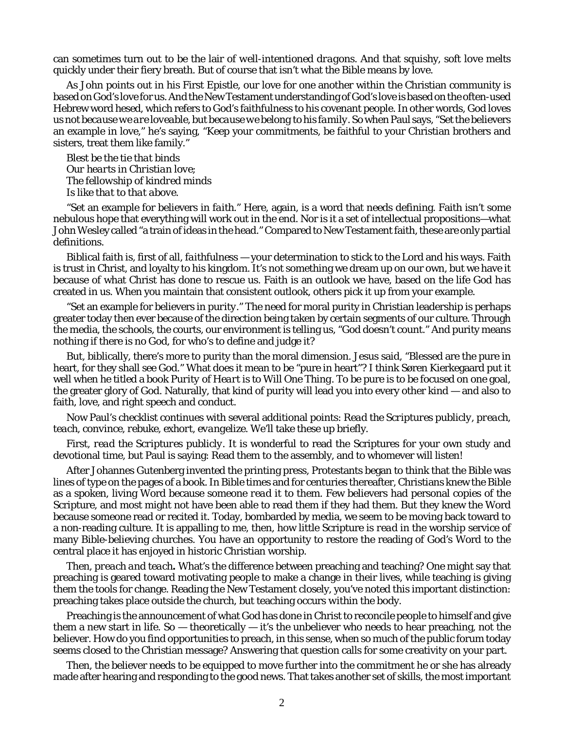can sometimes turn out to be the lair of *well-intentioned dragons.* And that squishy, soft love melts quickly under their fiery breath. But of course that isn't what the Bible means by *love*.

As John points out in his First Epistle, our love for one another within the Christian community is based on God's love for us. And the New Testament understanding of God's love is based on the often-used Hebrew word *hesed*, which refers to God's faithfulness to his covenant people. In other words, God loves us *not because we are loveable, but because we belong to his family.* So when Paul says, "Set the believers an example in love," he's saying, "Keep your commitments, be faithful to your Christian brothers and sisters, treat them like family."

*Blest be the tie that binds Our hearts in Christian love; The fellowship of kindred minds Is like that to that above.*

"Set an example for believers in *faith.*" Here, again, is a word that needs defining. Faith isn't some nebulous hope that everything will work out in the end. Nor is it a set of intellectual propositions—what John Wesley called "a train of ideas in the head." Compared to New Testament faith, these are only partial definitions.

Biblical faith is, first of all, *faithfulness* — your determination to stick to the Lord and his ways. Faith is trust in Christ, and loyalty to his kingdom. It's not something we dream up on our own, but we have it because of what Christ has done to rescue us. Faith is an outlook we have, based on the life God has created in us. When you maintain that consistent outlook, others pick it up from your example.

"Set an example for believers in *purity.*" The need for moral purity in Christian leadership is perhaps greater today then ever because of the direction being taken by certain segments of our culture. Through the media, the schools, the courts, our environment is telling us, "God doesn't count." And purity means nothing if there is no God, for who's to define and judge it?

But, biblically, there's more to purity than the moral dimension. Jesus said, "Blessed are the pure in heart, for they shall see God." What does it mean to be "pure in heart"? I think Søren Kierkegaard put it well when he titled a book *Purity of Heart is to Will One Thing.* To be pure is to be focused on one goal, the greater glory of God. Naturally, that kind of purity will lead you into every other kind — and also to faith, love, and right speech and conduct.

Now Paul's checklist continues with several additional points: *Read the Scriptures publicly, preach, teach, convince, rebuke, exhort, evangelize.* We'll take these up briefly.

First, *read the Scriptures publicly*. It is wonderful to read the Scriptures for your own study and devotional time, but Paul is saying: Read them to the assembly, and to whomever will listen!

After Johannes Gutenberg invented the printing press, Protestants began to think that the Bible was lines of type on the pages of a book. In Bible times and for centuries thereafter, Christians knew the Bible as a spoken, living Word because someone *read it* to them. Few believers had personal copies of the Scripture, and most might not have been able to read them if they had them. But they knew the Word because someone read or recited it. Today, bombarded by media, we seem to be moving back toward to a non-reading culture. It is appalling to me, then, how little Scripture is *read* in the worship service of many Bible-believing churches. You have an opportunity to restore the reading of God's Word to the central place it has enjoyed in historic Christian worship.

Then, *preach and teach***.** What's the difference between preaching and teaching? One might say that preaching is geared toward motivating people to make a change in their lives, while teaching is giving them the tools for change. Reading the New Testament closely, you've noted this important distinction: preaching takes place *outside* the church, but teaching occurs *within* the body.

Preaching is the announcement of what God has done in Christ to reconcile people to himself and give them a new start in life. So  $-$  theoretically  $-$  it's the unbeliever who needs to hear preaching, not the believer. How do you find opportunities to preach, in this sense, when so much of the public forum today seems closed to the Christian message? Answering that question calls for some creativity on your part.

Then, the believer needs to be equipped to move further into the commitment he or she has already made after hearing and responding to the good news. That takes another set of skills, the most important